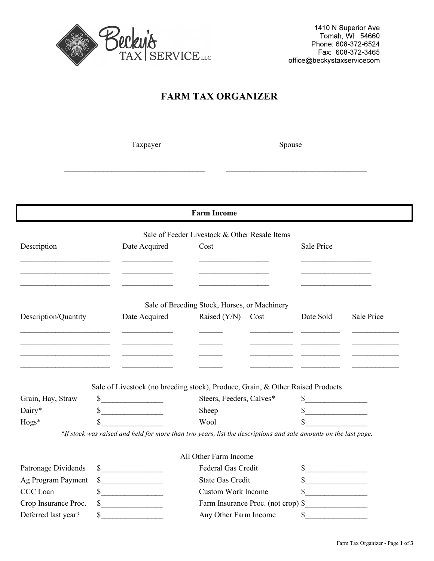

|                      |              |               | <b>Farm Income</b>                                                                                              |            |            |
|----------------------|--------------|---------------|-----------------------------------------------------------------------------------------------------------------|------------|------------|
|                      |              |               | Sale of Feeder Livestock & Other Resale Items                                                                   |            |            |
| Description          |              | Date Acquired | Cost                                                                                                            | Sale Price |            |
|                      |              |               |                                                                                                                 |            |            |
|                      |              |               |                                                                                                                 |            |            |
|                      |              |               | Sale of Breeding Stock, Horses, or Machinery                                                                    |            |            |
| Description/Quantity |              | Date Acquired | Raised $(Y/N)$<br>Cost                                                                                          | Date Sold  | Sale Price |
|                      |              |               |                                                                                                                 |            |            |
|                      |              |               |                                                                                                                 |            |            |
|                      |              |               |                                                                                                                 |            |            |
|                      |              |               |                                                                                                                 |            |            |
|                      |              |               | Sale of Livestock (no breeding stock), Produce, Grain, & Other Raised Products                                  |            |            |
| Grain, Hay, Straw    | \$           |               | Steers, Feeders, Calves*                                                                                        | \$         |            |
| Dairy*               | \$           |               | Sheep                                                                                                           | $\sim$     |            |
| Hogs*                | \$           |               | Wool                                                                                                            |            |            |
|                      |              |               | *If stock was raised and held for more than two years, list the descriptions and sale amounts on the last page. |            |            |
|                      |              |               | All Other Farm Income                                                                                           |            |            |
| Patronage Dividends  | $\mathbb{S}$ |               | Federal Gas Credit                                                                                              | S.         |            |
| Ag Program Payment   |              | $\frac{1}{2}$ | <b>State Gas Credit</b>                                                                                         | \$         |            |
| CCC Loan             | \$           |               | <b>Custom Work Income</b>                                                                                       | S.         |            |
| Crop Insurance Proc. | \$           |               | Farm Insurance Proc. (not crop) \$                                                                              |            |            |
| Deferred last year?  | \$           |               | Any Other Farm Income                                                                                           | \$         |            |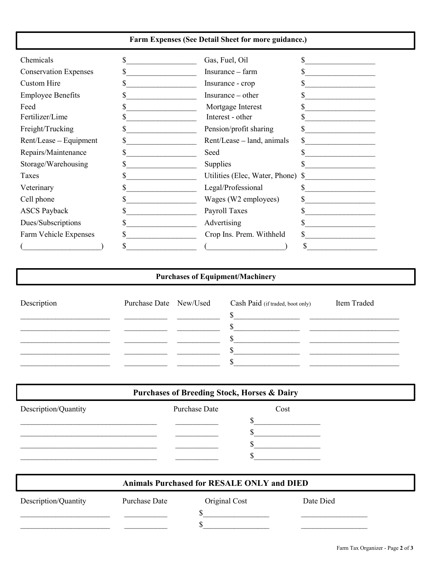### Farm Expenses (See Detail Sheet for more guidance.)

| Chemicals                    | Gas, Fuel, Oil                    |  |
|------------------------------|-----------------------------------|--|
| <b>Conservation Expenses</b> | Insurance - farm                  |  |
| Custom Hire                  | Insurance - crop                  |  |
| <b>Employee Benefits</b>     | Insurance – other                 |  |
| Feed                         | Mortgage Interest                 |  |
| Fertilizer/Lime              | Interest - other                  |  |
| Freight/Trucking             | Pension/profit sharing            |  |
| Rent/Lease - Equipment       | Rent/Lease – land, animals        |  |
| Repairs/Maintenance          | Seed                              |  |
| Storage/Warehousing          | Supplies                          |  |
| Taxes                        | Utilities (Elec, Water, Phone) \$ |  |
| Veterinary                   | Legal/Professional                |  |
| Cell phone                   | Wages (W2 employees)              |  |
| <b>ASCS Payback</b>          | Payroll Taxes                     |  |
| Dues/Subscriptions           | Advertising                       |  |
| Farm Vehicle Expenses        | Crop Ins. Prem. Withheld          |  |
|                              |                                   |  |
|                              |                                   |  |

### Purchases of Equipment/Machinery

| Description |  | Purchase Date New/Used Cash Paid (if traded, boot only) | Item Traded |
|-------------|--|---------------------------------------------------------|-------------|
|             |  |                                                         |             |
|             |  |                                                         |             |
|             |  |                                                         |             |
|             |  |                                                         |             |
|             |  |                                                         |             |

# Purchases of Breeding Stock, Horses & Dairy

| Description/Quantity | Purchase Date | Cost |  |
|----------------------|---------------|------|--|
|                      |               |      |  |
|                      |               |      |  |
|                      |               |      |  |
|                      |               |      |  |

|                      |               | Animals Purchased for RESALE ONLY and DIED |           |
|----------------------|---------------|--------------------------------------------|-----------|
| Description/Quantity | Purchase Date | Original Cost                              | Date Died |
|                      |               |                                            |           |
|                      |               |                                            |           |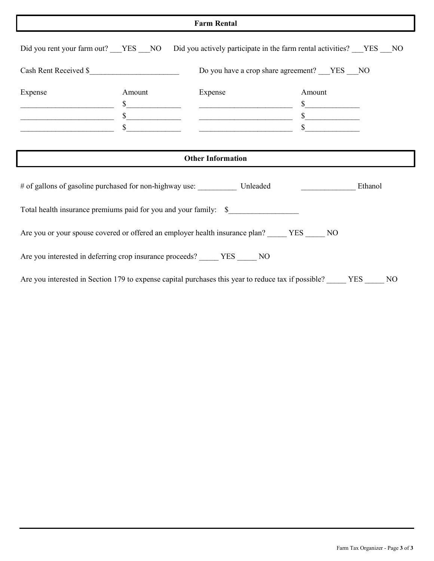### Farm Rental

|                                          |                              | <b>Farm Rental</b>                                                                                                                                                             |                                                                    |
|------------------------------------------|------------------------------|--------------------------------------------------------------------------------------------------------------------------------------------------------------------------------|--------------------------------------------------------------------|
| Did you rent your farm out? ___YES ___NO |                              |                                                                                                                                                                                | Did you actively participate in the farm rental activities? YES NO |
| Cash Rent Received \$                    |                              |                                                                                                                                                                                | Do you have a crop share agreement? ___YES ___NO                   |
| Expense                                  | Amount<br>\$<br>$\sim$<br>\$ | Expense                                                                                                                                                                        | Amount<br>$\frac{1}{\sqrt{2}}$                                     |
|                                          |                              | <b>Other Information</b>                                                                                                                                                       |                                                                    |
|                                          |                              |                                                                                                                                                                                |                                                                    |
|                                          |                              |                                                                                                                                                                                |                                                                    |
|                                          |                              |                                                                                                                                                                                | Ethanol                                                            |
|                                          |                              | Total health insurance premiums paid for you and your family: \$                                                                                                               |                                                                    |
|                                          |                              | Are you or your spouse covered or offered an employer health insurance plan? _____ YES _____ NO<br>Are you interested in deferring crop insurance proceeds? _____ YES _____ NO |                                                                    |